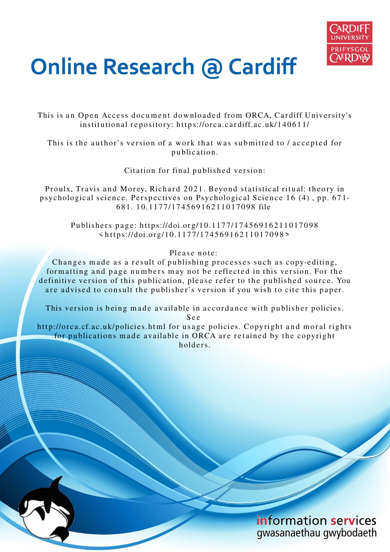

# **Online Research @ Cardiff**

This is an Open Access document downloaded from ORCA, Cardiff University's institutional repository: https://orca.cardiff.ac.uk/140611/

This is the author's version of a work that was submitted to / accepted for p u blication.

Citation for final published version:

Proulx, Travis and Morey, Richard 2021. Beyond statistical ritual: theory in psychological science. Perspectives on Psychological Science 16 (4), pp. 671-6 8 1. 1 0.11 7 7/17 4 5 6 9 1 6 2 1 1 0 1 7 0 9 8 file

Publishers page: https://doi.org/10.1177/17456916211017098  $\langle https://doi.org/10.1177/17456916211017098\rangle$ 

Please note:

Changes made as a result of publishing processes such as copy-editing, formatting and page numbers may not be reflected in this version. For the definitive version of this publication, please refer to the published source. You are advised to consult the publisher's version if you wish to cite this paper.

This version is being made available in accordance with publisher policies.

S e e

http://orca.cf.ac.uk/policies.html for usage policies. Copyright and moral rights for publications made available in ORCA are retained by the copyright holders.

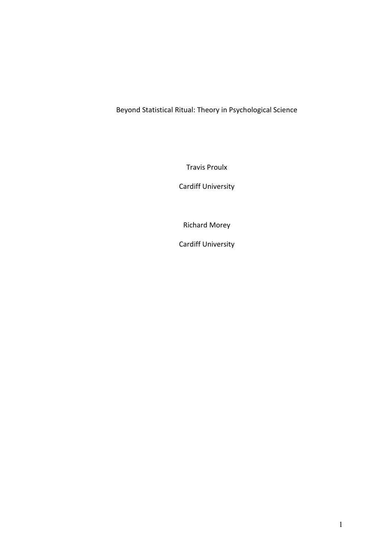Beyond Statistical Ritual: Theory in Psychological Science

Travis Proulx

Cardiff University

Richard Morey

Cardiff University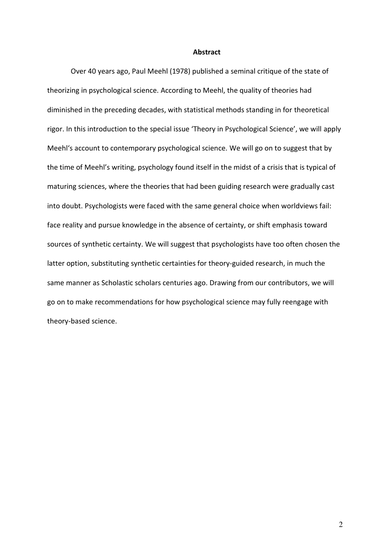#### **Abstract**

Over 40 years ago, Paul Meehl (1978) published a seminal critique of the state of theorizing in psychological science. According to Meehl, the quality of theories had diminished in the preceding decades, with statistical methods standing in for theoretical rigor. In this introduction to the special issue 'Theory in Psychological Science', we will apply Meehl's account to contemporary psychological science. We will go on to suggest that by the time of Meehl's writing, psychology found itself in the midst of a crisis that is typical of maturing sciences, where the theories that had been guiding research were gradually cast into doubt. Psychologists were faced with the same general choice when worldviews fail: face reality and pursue knowledge in the absence of certainty, or shift emphasis toward sources of synthetic certainty. We will suggest that psychologists have too often chosen the latter option, substituting synthetic certainties for theory-guided research, in much the same manner as Scholastic scholars centuries ago. Drawing from our contributors, we will go on to make recommendations for how psychological science may fully reengage with theory-based science.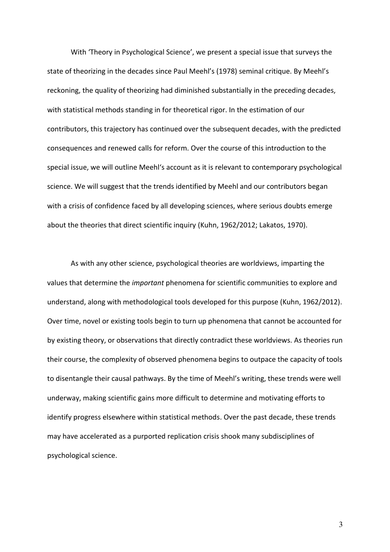With 'Theory in Psychological Science', we present a special issue that surveys the state of theorizing in the decades since Paul Meehl's (1978) seminal critique. By Meehl's reckoning, the quality of theorizing had diminished substantially in the preceding decades, with statistical methods standing in for theoretical rigor. In the estimation of our contributors, this trajectory has continued over the subsequent decades, with the predicted consequences and renewed calls for reform. Over the course of this introduction to the special issue, we will outline Meehl's account as it is relevant to contemporary psychological science. We will suggest that the trends identified by Meehl and our contributors began with a crisis of confidence faced by all developing sciences, where serious doubts emerge about the theories that direct scientific inquiry (Kuhn, 1962/2012; Lakatos, 1970).

As with any other science, psychological theories are worldviews, imparting the values that determine the *important* phenomena for scientific communities to explore and understand, along with methodological tools developed for this purpose (Kuhn, 1962/2012). Over time, novel or existing tools begin to turn up phenomena that cannot be accounted for by existing theory, or observations that directly contradict these worldviews. As theories run their course, the complexity of observed phenomena begins to outpace the capacity of tools to disentangle their causal pathways. By the time of Meehl's writing, these trends were well underway, making scientific gains more difficult to determine and motivating efforts to identify progress elsewhere within statistical methods. Over the past decade, these trends may have accelerated as a purported replication crisis shook many subdisciplines of psychological science.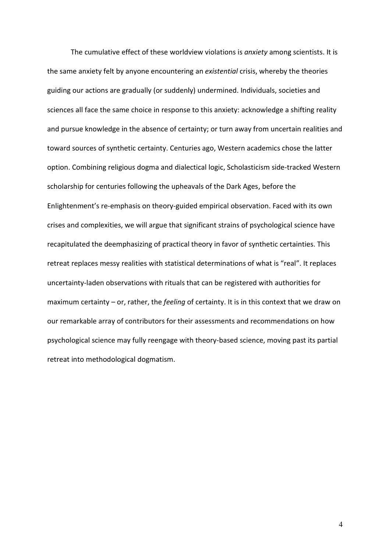The cumulative effect of these worldview violations is *anxiety* among scientists. It is the same anxiety felt by anyone encountering an *existential* crisis, whereby the theories guiding our actions are gradually (or suddenly) undermined. Individuals, societies and sciences all face the same choice in response to this anxiety: acknowledge a shifting reality and pursue knowledge in the absence of certainty; or turn away from uncertain realities and toward sources of synthetic certainty. Centuries ago, Western academics chose the latter option. Combining religious dogma and dialectical logic, Scholasticism side-tracked Western scholarship for centuries following the upheavals of the Dark Ages, before the Enlightenment's re-emphasis on theory-guided empirical observation. Faced with its own crises and complexities, we will argue that significant strains of psychological science have recapitulated the deemphasizing of practical theory in favor of synthetic certainties. This retreat replaces messy realities with statistical determinations of what is "real". It replaces uncertainty-laden observations with rituals that can be registered with authorities for maximum certainty – or, rather, the *feeling* of certainty. It is in this context that we draw on our remarkable array of contributors for their assessments and recommendations on how psychological science may fully reengage with theory-based science, moving past its partial retreat into methodological dogmatism.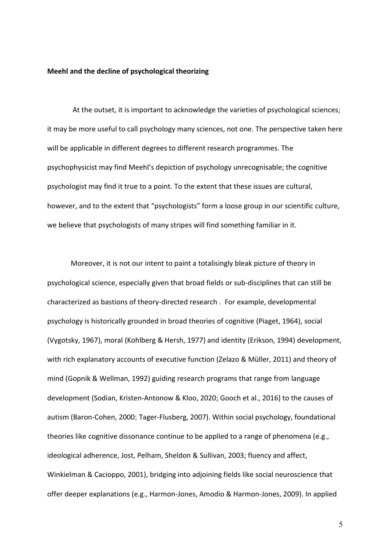## **Meehl and the decline of psychological theorizing**

 At the outset, it is important to acknowledge the varieties of psychological sciences; it may be more useful to call psychology many sciences, not one. The perspective taken here will be applicable in different degrees to different research programmes. The psychophysicist may find Meehl's depiction of psychology unrecognisable; the cognitive psychologist may find it true to a point. To the extent that these issues are cultural, however, and to the extent that "psychologists" form a loose group in our scientific culture, we believe that psychologists of many stripes will find something familiar in it.

Moreover, it is not our intent to paint a totalisingly bleak picture of theory in psychological science, especially given that broad fields or sub-disciplines that can still be characterized as bastions of theory-directed research . For example, developmental psychology is historically grounded in broad theories of cognitive (Piaget, 1964), social (Vygotsky, 1967), moral (Kohlberg & Hersh, 1977) and identity (Erikson, 1994) development, with rich explanatory accounts of executive function (Zelazo & Müller, 2011) and theory of mind (Gopnik & Wellman, 1992) guiding research programs that range from language development (Sodian, Kristen‐Antonow & Kloo, 2020; Gooch et al., 2016) to the causes of autism (Baron-Cohen, 2000; Tager-Flusberg, 2007). Within social psychology, foundational theories like cognitive dissonance continue to be applied to a range of phenomena (e.g., ideological adherence, Jost, Pelham, Sheldon & Sullivan, 2003; fluency and affect, Winkielman & Cacioppo, 2001), bridging into adjoining fields like social neuroscience that offer deeper explanations (e.g., Harmon-Jones, Amodio & Harmon-Jones, 2009). In applied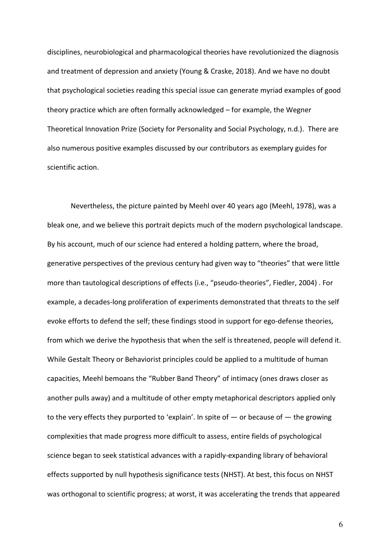disciplines, neurobiological and pharmacological theories have revolutionized the diagnosis and treatment of depression and anxiety (Young & Craske, 2018). And we have no doubt that psychological societies reading this special issue can generate myriad examples of good theory practice which are often formally acknowledged – for example, the Wegner Theoretical Innovation Prize (Society for Personality and Social Psychology, n.d.). There are also numerous positive examples discussed by our contributors as exemplary guides for scientific action.

Nevertheless, the picture painted by Meehl over 40 years ago (Meehl, 1978), was a bleak one, and we believe this portrait depicts much of the modern psychological landscape. By his account, much of our science had entered a holding pattern, where the broad, generative perspectives of the previous century had given way to "theories" that were little more than tautological descriptions of effects (i.e., "pseudo-theories", Fiedler, 2004) . For example, a decades-long proliferation of experiments demonstrated that threats to the self evoke efforts to defend the self; these findings stood in support for ego-defense theories, from which we derive the hypothesis that when the self is threatened, people will defend it. While Gestalt Theory or Behaviorist principles could be applied to a multitude of human capacities, Meehl bemoans the "Rubber Band Theory" of intimacy (ones draws closer as another pulls away) and a multitude of other empty metaphorical descriptors applied only to the very effects they purported to 'explain'. In spite of  $-$  or because of  $-$  the growing complexities that made progress more difficult to assess, entire fields of psychological science began to seek statistical advances with a rapidly-expanding library of behavioral effects supported by null hypothesis significance tests (NHST). At best, this focus on NHST was orthogonal to scientific progress; at worst, it was accelerating the trends that appeared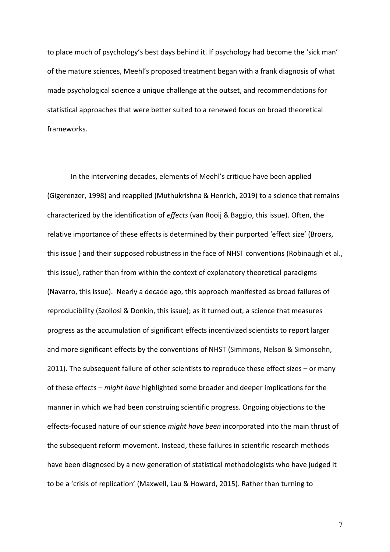to place much of psychology's best days behind it. If psychology had become the 'sick man' of the mature sciences, Meehl's proposed treatment began with a frank diagnosis of what made psychological science a unique challenge at the outset, and recommendations for statistical approaches that were better suited to a renewed focus on broad theoretical frameworks.

In the intervening decades, elements of Meehl's critique have been applied (Gigerenzer, 1998) and reapplied (Muthukrishna & Henrich, 2019) to a science that remains characterized by the identification of *effects* (van Rooij & Baggio, this issue). Often, the relative importance of these effects is determined by their purported 'effect size' (Broers, this issue ) and their supposed robustness in the face of NHST conventions (Robinaugh et al., this issue), rather than from within the context of explanatory theoretical paradigms (Navarro, this issue). Nearly a decade ago, this approach manifested as broad failures of reproducibility (Szollosi & Donkin, this issue); as it turned out, a science that measures progress as the accumulation of significant effects incentivized scientists to report larger and more significant effects by the conventions of NHST (Simmons, Nelson & Simonsohn, 2011). The subsequent failure of other scientists to reproduce these effect sizes – or many of these effects – *might have* highlighted some broader and deeper implications for the manner in which we had been construing scientific progress. Ongoing objections to the effects-focused nature of our science *might have been* incorporated into the main thrust of the subsequent reform movement. Instead, these failures in scientific research methods have been diagnosed by a new generation of statistical methodologists who have judged it to be a 'crisis of replication' (Maxwell, Lau & Howard, 2015). Rather than turning to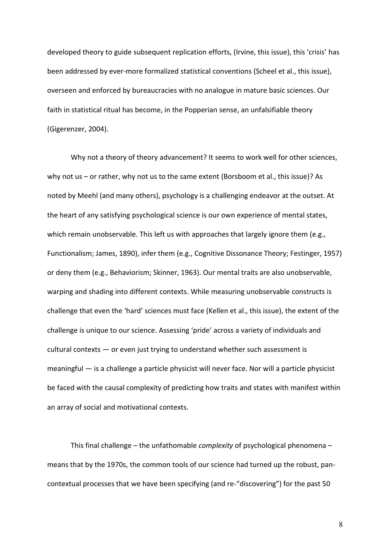developed theory to guide subsequent replication efforts, (Irvine, this issue), this 'crisis' has been addressed by ever-more formalized statistical conventions (Scheel et al., this issue), overseen and enforced by bureaucracies with no analogue in mature basic sciences. Our faith in statistical ritual has become, in the Popperian sense, an unfalsifiable theory (Gigerenzer, 2004).

Why not a theory of theory advancement? It seems to work well for other sciences, why not us – or rather, why not us to the same extent (Borsboom et al., this issue)? As noted by Meehl (and many others), psychology is a challenging endeavor at the outset. At the heart of any satisfying psychological science is our own experience of mental states, which remain unobservable. This left us with approaches that largely ignore them (e.g., Functionalism; James, 1890), infer them (e.g., Cognitive Dissonance Theory; Festinger, 1957) or deny them (e.g., Behaviorism; Skinner, 1963). Our mental traits are also unobservable, warping and shading into different contexts. While measuring unobservable constructs is challenge that even the 'hard' sciences must face (Kellen et al., this issue), the extent of the challenge is unique to our science. Assessing 'pride' across a variety of individuals and cultural contexts — or even just trying to understand whether such assessment is meaningful — is a challenge a particle physicist will never face. Nor will a particle physicist be faced with the causal complexity of predicting how traits and states with manifest within an array of social and motivational contexts.

 This final challenge – the unfathomable *complexity* of psychological phenomena – means that by the 1970s, the common tools of our science had turned up the robust, pancontextual processes that we have been specifying (and re-"discovering") for the past 50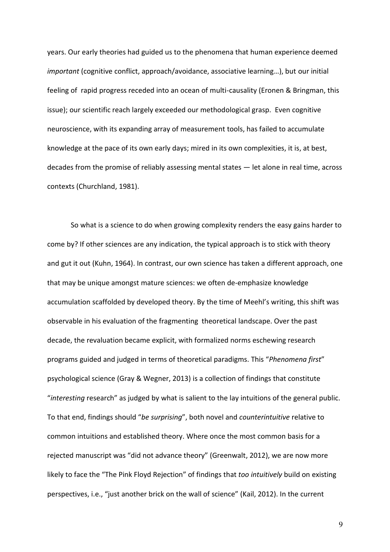years. Our early theories had guided us to the phenomena that human experience deemed *important* (cognitive conflict, approach/avoidance, associative learning…), but our initial feeling of rapid progress receded into an ocean of multi-causality (Eronen & Bringman, this issue); our scientific reach largely exceeded our methodological grasp. Even cognitive neuroscience, with its expanding array of measurement tools, has failed to accumulate knowledge at the pace of its own early days; mired in its own complexities, it is, at best, decades from the promise of reliably assessing mental states — let alone in real time, across contexts (Churchland, 1981).

So what is a science to do when growing complexity renders the easy gains harder to come by? If other sciences are any indication, the typical approach is to stick with theory and gut it out (Kuhn, 1964). In contrast, our own science has taken a different approach, one that may be unique amongst mature sciences: we often de-emphasize knowledge accumulation scaffolded by developed theory. By the time of Meehl's writing, this shift was observable in his evaluation of the fragmenting theoretical landscape. Over the past decade, the revaluation became explicit, with formalized norms eschewing research programs guided and judged in terms of theoretical paradigms. This "*Phenomena first*" psychological science (Gray & Wegner, 2013) is a collection of findings that constitute "*interesting* research" as judged by what is salient to the lay intuitions of the general public. To that end, findings should "*be surprising*", both novel and *counterintuitive* relative to common intuitions and established theory. Where once the most common basis for a rejected manuscript was "did not advance theory" (Greenwalt, 2012), we are now more likely to face the "The Pink Floyd Rejection" of findings that *too intuitively* build on existing perspectives, i.e., "just another brick on the wall of science" (Kail, 2012). In the current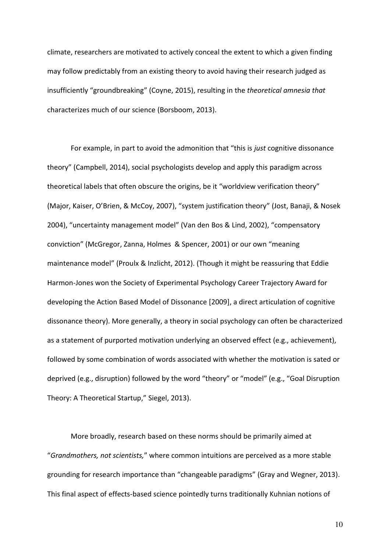climate, researchers are motivated to actively conceal the extent to which a given finding may follow predictably from an existing theory to avoid having their research judged as insufficiently "groundbreaking" (Coyne, 2015), resulting in the *theoretical amnesia that*  characterizes much of our science (Borsboom, 2013).

For example, in part to avoid the admonition that "this is *just* cognitive dissonance theory" (Campbell, 2014), social psychologists develop and apply this paradigm across theoretical labels that often obscure the origins, be it "worldview verification theory" (Major, Kaiser, O'Brien, & McCoy, 2007), "system justification theory" (Jost, Banaji, & Nosek 2004), "uncertainty management model" (Van den Bos & Lind, 2002), "compensatory conviction" (McGregor, Zanna, Holmes & Spencer, 2001) or our own "meaning maintenance model" (Proulx & Inzlicht, 2012). (Though it might be reassuring that Eddie Harmon-Jones won the Society of Experimental Psychology Career Trajectory Award for developing the Action Based Model of Dissonance [2009], a direct articulation of cognitive dissonance theory). More generally, a theory in social psychology can often be characterized as a statement of purported motivation underlying an observed effect (e.g., achievement), followed by some combination of words associated with whether the motivation is sated or deprived (e.g., disruption) followed by the word "theory" or "model" (e.g., "Goal Disruption Theory: A Theoretical Startup," Siegel, 2013).

More broadly, research based on these norms should be primarily aimed at "*Grandmothers, not scientists,*" where common intuitions are perceived as a more stable grounding for research importance than "changeable paradigms" (Gray and Wegner, 2013). This final aspect of effects-based science pointedly turns traditionally Kuhnian notions of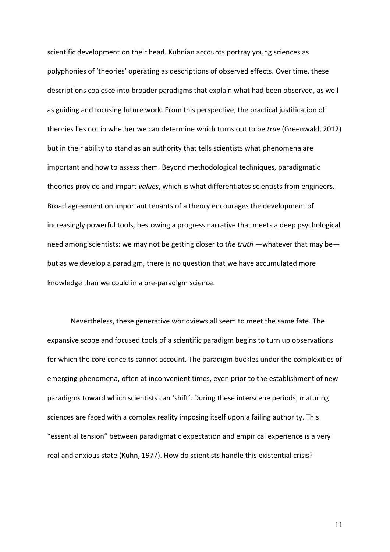scientific development on their head. Kuhnian accounts portray young sciences as polyphonies of 'theories' operating as descriptions of observed effects. Over time, these descriptions coalesce into broader paradigms that explain what had been observed, as well as guiding and focusing future work. From this perspective, the practical justification of theories lies not in whether we can determine which turns out to be *true* (Greenwald, 2012) but in their ability to stand as an authority that tells scientists what phenomena are important and how to assess them. Beyond methodological techniques, paradigmatic theories provide and impart *values*, which is what differentiates scientists from engineers. Broad agreement on important tenants of a theory encourages the development of increasingly powerful tools, bestowing a progress narrative that meets a deep psychological need among scientists: we may not be getting closer to t*he truth* —whatever that may be but as we develop a paradigm, there is no question that we have accumulated more knowledge than we could in a pre-paradigm science.

 Nevertheless, these generative worldviews all seem to meet the same fate. The expansive scope and focused tools of a scientific paradigm begins to turn up observations for which the core conceits cannot account. The paradigm buckles under the complexities of emerging phenomena, often at inconvenient times, even prior to the establishment of new paradigms toward which scientists can 'shift'. During these interscene periods, maturing sciences are faced with a complex reality imposing itself upon a failing authority. This "essential tension" between paradigmatic expectation and empirical experience is a very real and anxious state (Kuhn, 1977). How do scientists handle this existential crisis?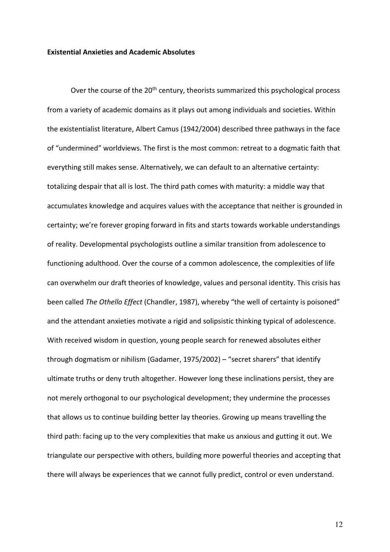## **Existential Anxieties and Academic Absolutes**

Over the course of the 20<sup>th</sup> century, theorists summarized this psychological process from a variety of academic domains as it plays out among individuals and societies. Within the existentialist literature, Albert Camus (1942/2004) described three pathways in the face of "undermined" worldviews. The first is the most common: retreat to a dogmatic faith that everything still makes sense. Alternatively, we can default to an alternative certainty: totalizing despair that all is lost. The third path comes with maturity: a middle way that accumulates knowledge and acquires values with the acceptance that neither is grounded in certainty; we're forever groping forward in fits and starts towards workable understandings of reality. Developmental psychologists outline a similar transition from adolescence to functioning adulthood. Over the course of a common adolescence, the complexities of life can overwhelm our draft theories of knowledge, values and personal identity. This crisis has been called *The Othello Effect* (Chandler, 1987), whereby "the well of certainty is poisoned" and the attendant anxieties motivate a rigid and solipsistic thinking typical of adolescence. With received wisdom in question, young people search for renewed absolutes either through dogmatism or nihilism (Gadamer, 1975/2002) – "secret sharers" that identify ultimate truths or deny truth altogether. However long these inclinations persist, they are not merely orthogonal to our psychological development; they undermine the processes that allows us to continue building better lay theories. Growing up means travelling the third path: facing up to the very complexities that make us anxious and gutting it out. We triangulate our perspective with others, building more powerful theories and accepting that there will always be experiences that we cannot fully predict, control or even understand.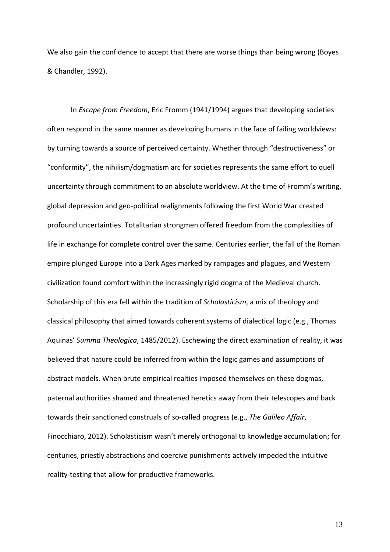We also gain the confidence to accept that there are worse things than being wrong (Boyes & Chandler, 1992).

In *Escape from Freedom*, Eric Fromm (1941/1994) argues that developing societies often respond in the same manner as developing humans in the face of failing worldviews: by turning towards a source of perceived certainty. Whether through "destructiveness" or "conformity", the nihilism/dogmatism arc for societies represents the same effort to quell uncertainty through commitment to an absolute worldview. At the time of Fromm's writing, global depression and geo-political realignments following the first World War created profound uncertainties. Totalitarian strongmen offered freedom from the complexities of life in exchange for complete control over the same. Centuries earlier, the fall of the Roman empire plunged Europe into a Dark Ages marked by rampages and plagues, and Western civilization found comfort within the increasingly rigid dogma of the Medieval church. Scholarship of this era fell within the tradition of *Scholasticism*, a mix of theology and classical philosophy that aimed towards coherent systems of dialectical logic (e.g., Thomas Aquinas' *Summa Theologica*, 1485/2012). Eschewing the direct examination of reality, it was believed that nature could be inferred from within the logic games and assumptions of abstract models. When brute empirical realties imposed themselves on these dogmas, paternal authorities shamed and threatened heretics away from their telescopes and back towards their sanctioned construals of so-called progress (e.g., *The Galileo Affair*, Finocchiaro, 2012). Scholasticism wasn't merely orthogonal to knowledge accumulation; for centuries, priestly abstractions and coercive punishments actively impeded the intuitive reality-testing that allow for productive frameworks.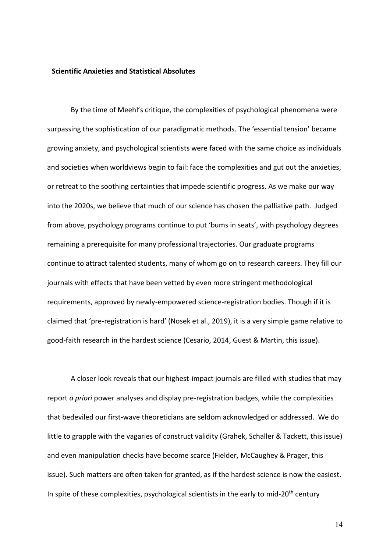#### **Scientific Anxieties and Statistical Absolutes**

By the time of Meehl's critique, the complexities of psychological phenomena were surpassing the sophistication of our paradigmatic methods. The 'essential tension' became growing anxiety, and psychological scientists were faced with the same choice as individuals and societies when worldviews begin to fail: face the complexities and gut out the anxieties, or retreat to the soothing certainties that impede scientific progress. As we make our way into the 2020s, we believe that much of our science has chosen the palliative path. Judged from above, psychology programs continue to put 'bums in seats', with psychology degrees remaining a prerequisite for many professional trajectories. Our graduate programs continue to attract talented students, many of whom go on to research careers. They fill our journals with effects that have been vetted by even more stringent methodological requirements, approved by newly-empowered science-registration bodies. Though if it is claimed that 'pre-registration is hard' (Nosek et al., 2019), it is a very simple game relative to good-faith research in the hardest science (Cesario, 2014, Guest & Martin, this issue).

A closer look reveals that our highest-impact journals are filled with studies that may report *a priori* power analyses and display pre-registration badges, while the complexities that bedeviled our first-wave theoreticians are seldom acknowledged or addressed. We do little to grapple with the vagaries of construct validity (Grahek, Schaller & Tackett, this issue) and even manipulation checks have become scarce (Fielder, McCaughey & Prager, this issue). Such matters are often taken for granted, as if the hardest science is now the easiest. In spite of these complexities, psychological scientists in the early to mid-20<sup>th</sup> century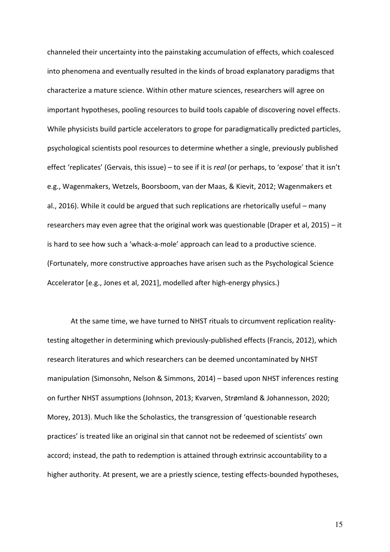channeled their uncertainty into the painstaking accumulation of effects, which coalesced into phenomena and eventually resulted in the kinds of broad explanatory paradigms that characterize a mature science. Within other mature sciences, researchers will agree on important hypotheses, pooling resources to build tools capable of discovering novel effects. While physicists build particle accelerators to grope for paradigmatically predicted particles, psychological scientists pool resources to determine whether a single, previously published effect 'replicates' (Gervais, this issue) – to see if it is *real* (or perhaps, to 'expose' that it isn't e.g., Wagenmakers, Wetzels, Boorsboom, van der Maas, & Kievit, 2012; Wagenmakers et al., 2016). While it could be argued that such replications are rhetorically useful – many researchers may even agree that the original work was questionable (Draper et al, 2015) – it is hard to see how such a 'whack-a-mole' approach can lead to a productive science. (Fortunately, more constructive approaches have arisen such as the Psychological Science Accelerator [e.g., Jones et al, 2021], modelled after high-energy physics.)

At the same time, we have turned to NHST rituals to circumvent replication realitytesting altogether in determining which previously-published effects (Francis, 2012), which research literatures and which researchers can be deemed uncontaminated by NHST manipulation (Simonsohn, Nelson & Simmons, 2014) – based upon NHST inferences resting on further NHST assumptions (Johnson, 2013; Kvarven, Strømland & Johannesson, 2020; Morey, 2013). Much like the Scholastics, the transgression of 'questionable research practices' is treated like an original sin that cannot not be redeemed of scientists' own accord; instead, the path to redemption is attained through extrinsic accountability to a higher authority. At present, we are a priestly science, testing effects-bounded hypotheses,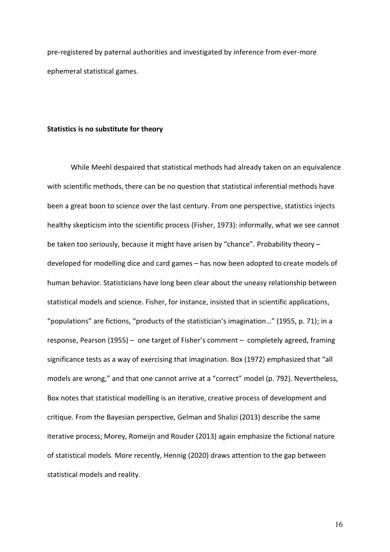pre-registered by paternal authorities and investigated by inference from ever-more ephemeral statistical games.

#### **Statistics is no substitute for theory**

While Meehl despaired that statistical methods had already taken on an equivalence with scientific methods, there can be no question that statistical inferential methods have been a great boon to science over the last century. From one perspective, statistics injects healthy skepticism into the scientific process (Fisher, 1973): informally, what we see cannot be taken too seriously, because it might have arisen by "chance". Probability theory – developed for modelling dice and card games – has now been adopted to create models of human behavior. Statisticians have long been clear about the uneasy relationship between statistical models and science. Fisher, for instance, insisted that in scientific applications, "populations" are fictions, "products of the statistician's imagination…" (1955, p. 71); in a response, Pearson (1955) – one target of Fisher's comment – completely agreed, framing significance tests as a way of exercising that imagination. Box (1972) emphasized that "all models are wrong," and that one cannot arrive at a "correct" model (p. 792). Nevertheless, Box notes that statistical modelling is an iterative, creative process of development and critique. From the Bayesian perspective, Gelman and Shalizi (2013) describe the same iterative process; Morey, Romeijn and Rouder (2013) again emphasize the fictional nature of statistical models. More recently, Hennig (2020) draws attention to the gap between statistical models and reality.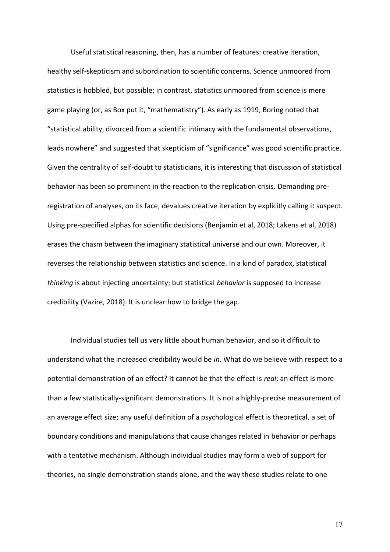Useful statistical reasoning, then, has a number of features: creative iteration, healthy self-skepticism and subordination to scientific concerns. Science unmoored from statistics is hobbled, but possible; in contrast, statistics unmoored from science is mere game playing (or, as Box put it, "mathematistry"). As early as 1919, Boring noted that "statistical ability, divorced from a scientific intimacy with the fundamental observations, leads nowhere" and suggested that skepticism of "significance" was good scientific practice. Given the centrality of self-doubt to statisticians, it is interesting that discussion of statistical behavior has been so prominent in the reaction to the replication crisis. Demanding preregistration of analyses, on its face, devalues creative iteration by explicitly calling it suspect. Using pre-specified alphas for scientific decisions (Benjamin et al, 2018; Lakens et al, 2018) erases the chasm between the imaginary statistical universe and our own. Moreover, it reverses the relationship between statistics and science. In a kind of paradox, statistical *thinking* is about injecting uncertainty; but statistical *behavior* is supposed to increase credibility (Vazire, 2018). It is unclear how to bridge the gap.

 Individual studies tell us very little about human behavior, and so it difficult to understand what the increased credibility would be *in*. What do we believe with respect to a potential demonstration of an effect? It cannot be that the effect is *real*; an effect is more than a few statistically-significant demonstrations. It is not a highly-precise measurement of an average effect size; any useful definition of a psychological effect is theoretical, a set of boundary conditions and manipulations that cause changes related in behavior or perhaps with a tentative mechanism. Although individual studies may form a web of support for theories, no single demonstration stands alone, and the way these studies relate to one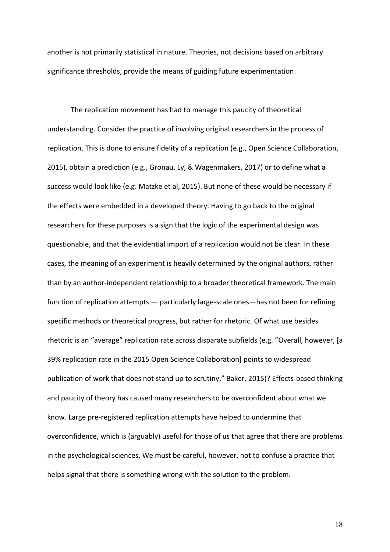another is not primarily statistical in nature. Theories, not decisions based on arbitrary significance thresholds, provide the means of guiding future experimentation.

The replication movement has had to manage this paucity of theoretical understanding. Consider the practice of involving original researchers in the process of replication. This is done to ensure fidelity of a replication (e.g., Open Science Collaboration, 2015), obtain a prediction (e.g., Gronau, Ly, & Wagenmakers, 2017) or to define what a success would look like (e.g. Matzke et al, 2015). But none of these would be necessary if the effects were embedded in a developed theory. Having to go back to the original researchers for these purposes is a sign that the logic of the experimental design was questionable, and that the evidential import of a replication would not be clear. In these cases, the meaning of an experiment is heavily determined by the original authors, rather than by an author-independent relationship to a broader theoretical framework. The main function of replication attempts — particularly large-scale ones—has not been for refining specific methods or theoretical progress, but rather for rhetoric. Of what use besides rhetoric is an "average" replication rate across disparate subfields (e.g. "Overall, however, [a 39% replication rate in the 2015 Open Science Collaboration] points to widespread publication of work that does not stand up to scrutiny," Baker, 2015)? Effects-based thinking and paucity of theory has caused many researchers to be overconfident about what we know. Large pre-registered replication attempts have helped to undermine that overconfidence, which is (arguably) useful for those of us that agree that there are problems in the psychological sciences. We must be careful, however, not to confuse a practice that helps signal that there is something wrong with the solution to the problem.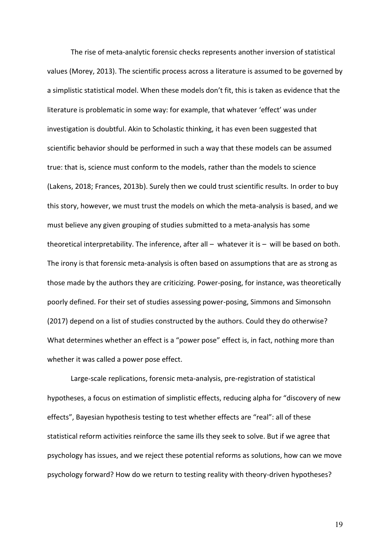The rise of meta-analytic forensic checks represents another inversion of statistical values (Morey, 2013). The scientific process across a literature is assumed to be governed by a simplistic statistical model. When these models don't fit, this is taken as evidence that the literature is problematic in some way: for example, that whatever 'effect' was under investigation is doubtful. Akin to Scholastic thinking, it has even been suggested that scientific behavior should be performed in such a way that these models can be assumed true: that is, science must conform to the models, rather than the models to science (Lakens, 2018; Frances, 2013b). Surely then we could trust scientific results. In order to buy this story, however, we must trust the models on which the meta-analysis is based, and we must believe any given grouping of studies submitted to a meta-analysis has some theoretical interpretability. The inference, after all – whatever it is – will be based on both. The irony is that forensic meta-analysis is often based on assumptions that are as strong as those made by the authors they are criticizing. Power-posing, for instance, was theoretically poorly defined. For their set of studies assessing power-posing, Simmons and Simonsohn (2017) depend on a list of studies constructed by the authors. Could they do otherwise? What determines whether an effect is a "power pose" effect is, in fact, nothing more than whether it was called a power pose effect.

 Large-scale replications, forensic meta-analysis, pre-registration of statistical hypotheses, a focus on estimation of simplistic effects, reducing alpha for "discovery of new effects", Bayesian hypothesis testing to test whether effects are "real": all of these statistical reform activities reinforce the same ills they seek to solve. But if we agree that psychology has issues, and we reject these potential reforms as solutions, how can we move psychology forward? How do we return to testing reality with theory-driven hypotheses?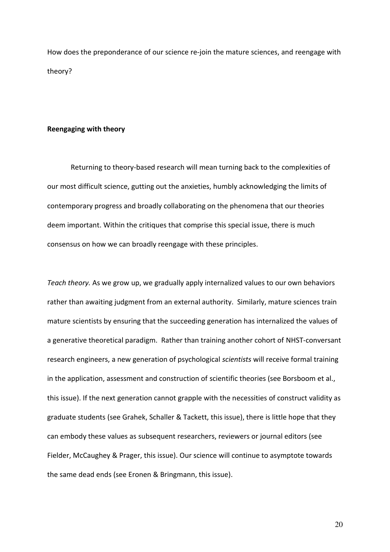How does the preponderance of our science re-join the mature sciences, and reengage with theory?

## **Reengaging with theory**

Returning to theory-based research will mean turning back to the complexities of our most difficult science, gutting out the anxieties, humbly acknowledging the limits of contemporary progress and broadly collaborating on the phenomena that our theories deem important. Within the critiques that comprise this special issue, there is much consensus on how we can broadly reengage with these principles.

*Teach theory.* As we grow up, we gradually apply internalized values to our own behaviors rather than awaiting judgment from an external authority. Similarly, mature sciences train mature scientists by ensuring that the succeeding generation has internalized the values of a generative theoretical paradigm. Rather than training another cohort of NHST-conversant research engineers, a new generation of psychological *scientists* will receive formal training in the application, assessment and construction of scientific theories (see Borsboom et al., this issue). If the next generation cannot grapple with the necessities of construct validity as graduate students (see Grahek, Schaller & Tackett, this issue), there is little hope that they can embody these values as subsequent researchers, reviewers or journal editors (see Fielder, McCaughey & Prager, this issue). Our science will continue to asymptote towards the same dead ends (see Eronen & Bringmann, this issue).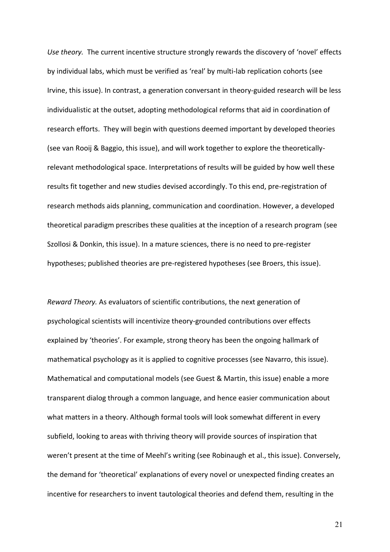*Use theory.*The current incentive structure strongly rewards the discovery of 'novel' effects by individual labs, which must be verified as 'real' by multi-lab replication cohorts (see Irvine, this issue). In contrast, a generation conversant in theory-guided research will be less individualistic at the outset, adopting methodological reforms that aid in coordination of research efforts. They will begin with questions deemed important by developed theories (see van Rooij & Baggio, this issue), and will work together to explore the theoreticallyrelevant methodological space. Interpretations of results will be guided by how well these results fit together and new studies devised accordingly. To this end, pre-registration of research methods aids planning, communication and coordination. However, a developed theoretical paradigm prescribes these qualities at the inception of a research program (see Szollosi & Donkin, this issue). In a mature sciences, there is no need to pre-register hypotheses; published theories are pre-registered hypotheses (see Broers, this issue).

*Reward Theory.* As evaluators of scientific contributions, the next generation of psychological scientists will incentivize theory-grounded contributions over effects explained by 'theories'. For example, strong theory has been the ongoing hallmark of mathematical psychology as it is applied to cognitive processes (see Navarro, this issue). Mathematical and computational models (see Guest & Martin, this issue) enable a more transparent dialog through a common language, and hence easier communication about what matters in a theory. Although formal tools will look somewhat different in every subfield, looking to areas with thriving theory will provide sources of inspiration that weren't present at the time of Meehl's writing (see Robinaugh et al., this issue). Conversely, the demand for 'theoretical' explanations of every novel or unexpected finding creates an incentive for researchers to invent tautological theories and defend them, resulting in the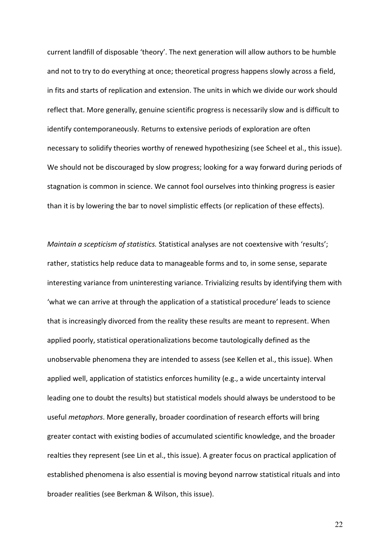current landfill of disposable 'theory'. The next generation will allow authors to be humble and not to try to do everything at once; theoretical progress happens slowly across a field, in fits and starts of replication and extension. The units in which we divide our work should reflect that. More generally, genuine scientific progress is necessarily slow and is difficult to identify contemporaneously. Returns to extensive periods of exploration are often necessary to solidify theories worthy of renewed hypothesizing (see Scheel et al., this issue). We should not be discouraged by slow progress; looking for a way forward during periods of stagnation is common in science. We cannot fool ourselves into thinking progress is easier than it is by lowering the bar to novel simplistic effects (or replication of these effects).

*Maintain a scepticism of statistics.* Statistical analyses are not coextensive with 'results'; rather, statistics help reduce data to manageable forms and to, in some sense, separate interesting variance from uninteresting variance. Trivializing results by identifying them with 'what we can arrive at through the application of a statistical procedure' leads to science that is increasingly divorced from the reality these results are meant to represent. When applied poorly, statistical operationalizations become tautologically defined as the unobservable phenomena they are intended to assess (see Kellen et al., this issue). When applied well, application of statistics enforces humility (e.g., a wide uncertainty interval leading one to doubt the results) but statistical models should always be understood to be useful *metaphors*. More generally, broader coordination of research efforts will bring greater contact with existing bodies of accumulated scientific knowledge, and the broader realties they represent (see Lin et al., this issue). A greater focus on practical application of established phenomena is also essential is moving beyond narrow statistical rituals and into broader realities (see Berkman & Wilson, this issue).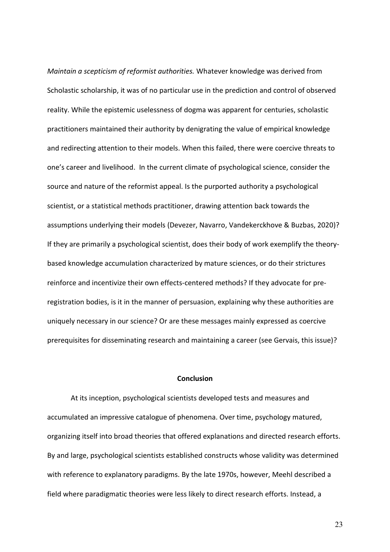*Maintain a scepticism of reformist authorities.* Whatever knowledge was derived from Scholastic scholarship, it was of no particular use in the prediction and control of observed reality. While the epistemic uselessness of dogma was apparent for centuries, scholastic practitioners maintained their authority by denigrating the value of empirical knowledge and redirecting attention to their models. When this failed, there were coercive threats to one's career and livelihood. In the current climate of psychological science, consider the source and nature of the reformist appeal. Is the purported authority a psychological scientist, or a statistical methods practitioner, drawing attention back towards the assumptions underlying their models (Devezer, Navarro, Vandekerckhove & Buzbas, 2020)? If they are primarily a psychological scientist, does their body of work exemplify the theorybased knowledge accumulation characterized by mature sciences, or do their strictures reinforce and incentivize their own effects-centered methods? If they advocate for preregistration bodies, is it in the manner of persuasion, explaining why these authorities are uniquely necessary in our science? Or are these messages mainly expressed as coercive prerequisites for disseminating research and maintaining a career (see Gervais, this issue)?

### **Conclusion**

At its inception, psychological scientists developed tests and measures and accumulated an impressive catalogue of phenomena. Over time, psychology matured, organizing itself into broad theories that offered explanations and directed research efforts. By and large, psychological scientists established constructs whose validity was determined with reference to explanatory paradigms. By the late 1970s, however, Meehl described a field where paradigmatic theories were less likely to direct research efforts. Instead, a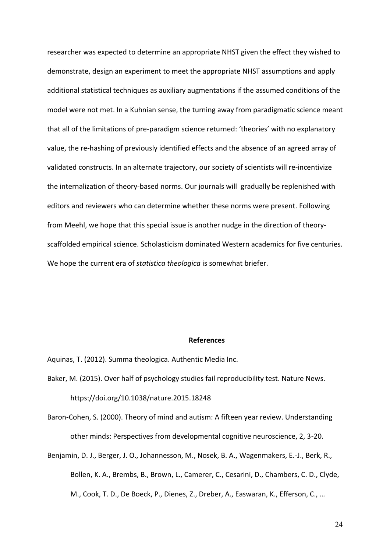researcher was expected to determine an appropriate NHST given the effect they wished to demonstrate, design an experiment to meet the appropriate NHST assumptions and apply additional statistical techniques as auxiliary augmentations if the assumed conditions of the model were not met. In a Kuhnian sense, the turning away from paradigmatic science meant that all of the limitations of pre-paradigm science returned: 'theories' with no explanatory value, the re-hashing of previously identified effects and the absence of an agreed array of validated constructs. In an alternate trajectory, our society of scientists will re-incentivize the internalization of theory-based norms. Our journals will gradually be replenished with editors and reviewers who can determine whether these norms were present. Following from Meehl, we hope that this special issue is another nudge in the direction of theoryscaffolded empirical science. Scholasticism dominated Western academics for five centuries. We hope the current era of *statistica theologica* is somewhat briefer.

#### **References**

Aquinas, T. (2012). Summa theologica. Authentic Media Inc.

- Baker, M. (2015). Over half of psychology studies fail reproducibility test. Nature News. https://doi.org/10.1038/nature.2015.18248
- Baron-Cohen, S. (2000). Theory of mind and autism: A fifteen year review. Understanding other minds: Perspectives from developmental cognitive neuroscience, 2, 3-20.
- Benjamin, D. J., Berger, J. O., Johannesson, M., Nosek, B. A., Wagenmakers, E.-J., Berk, R., Bollen, K. A., Brembs, B., Brown, L., Camerer, C., Cesarini, D., Chambers, C. D., Clyde, M., Cook, T. D., De Boeck, P., Dienes, Z., Dreber, A., Easwaran, K., Efferson, C., …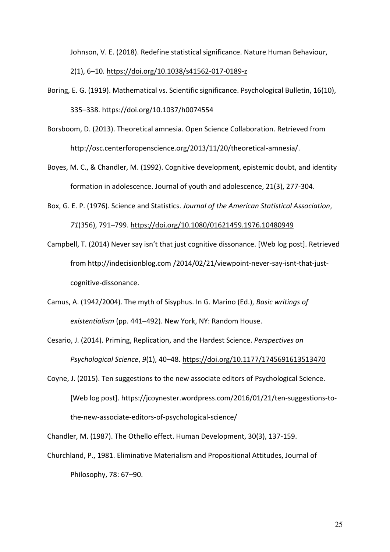Johnson, V. E. (2018). Redefine statistical significance. Nature Human Behaviour, 2(1), 6–10.<https://doi.org/10.1038/s41562-017-0189-z>

- Boring, E. G. (1919). Mathematical vs. Scientific significance. Psychological Bulletin, 16(10), 335–338. https://doi.org/10.1037/h0074554
- Borsboom, D. (2013). Theoretical amnesia. Open Science Collaboration. Retrieved from http://osc.centerforopenscience.org/2013/11/20/theoretical-amnesia/.
- Boyes, M. C., & Chandler, M. (1992). Cognitive development, epistemic doubt, and identity formation in adolescence. Journal of youth and adolescence, 21(3), 277-304.
- Box, G. E. P. (1976). Science and Statistics. *Journal of the American Statistical Association*, *71*(356), 791–799.<https://doi.org/10.1080/01621459.1976.10480949>
- Campbell, T. (2014) Never say isn't that just cognitive dissonance. [Web log post]. Retrieved from http://indecisionblog.com /2014/02/21/viewpoint-never-say-isnt-that-justcognitive-dissonance.
- Camus, A. (1942/2004). The myth of Sisyphus. In G. Marino (Ed.), *Basic writings of existentialism* (pp. 441–492). New York, NY: Random House.
- Cesario, J. (2014). Priming, Replication, and the Hardest Science. *Perspectives on Psychological Science*, *9*(1), 40–48.<https://doi.org/10.1177/1745691613513470>
- Coyne, J. (2015). Ten suggestions to the new associate editors of Psychological Science. [Web log post]. https://jcoynester.wordpress.com/2016/01/21/ten-suggestions-tothe-new-associate-editors-of-psychological-science/

Chandler, M. (1987). The Othello effect. Human Development, 30(3), 137-159.

Churchland, P., 1981. Eliminative Materialism and Propositional Attitudes, Journal of Philosophy, 78: 67–90.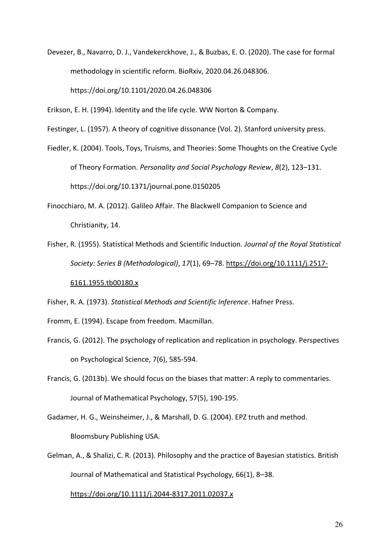Devezer, B., Navarro, D. J., Vandekerckhove, J., & Buzbas, E. O. (2020). The case for formal methodology in scientific reform. BioRxiv, 2020.04.26.048306.

https://doi.org/10.1101/2020.04.26.048306

Erikson, E. H. (1994). Identity and the life cycle. WW Norton & Company.

Festinger, L. (1957). A theory of cognitive dissonance (Vol. 2). Stanford university press.

- Fiedler, K. (2004). Tools, Toys, Truisms, and Theories: Some Thoughts on the Creative Cycle of Theory Formation. *Personality and Social Psychology Review*, *8*(2), 123–131. https://doi.org/10.1371/journal.pone.0150205
- Finocchiaro, M. A. (2012). Galileo Affair. The Blackwell Companion to Science and Christianity, 14.
- Fisher, R. (1955). Statistical Methods and Scientific Induction. *Journal of the Royal Statistical Society: Series B (Methodological)*, *17*(1), 69–78. [https://doi.org/10.1111/j.2517-](https://doi.org/10.1111/j.2517-6161.1955.tb00180.x)

## [6161.1955.tb00180.x](https://doi.org/10.1111/j.2517-6161.1955.tb00180.x)

Fisher, R. A. (1973). *Statistical Methods and Scientific Inference*. Hafner Press.

- Fromm, E. (1994). Escape from freedom. Macmillan.
- Francis, G. (2012). The psychology of replication and replication in psychology. Perspectives on Psychological Science, 7(6), 585-594.
- Francis, G. (2013b). We should focus on the biases that matter: A reply to commentaries. Journal of Mathematical Psychology, 57(5), 190-195.
- Gadamer, H. G., Weinsheimer, J., & Marshall, D. G. (2004). EPZ truth and method. Bloomsbury Publishing USA.
- Gelman, A., & Shalizi, C. R. (2013). Philosophy and the practice of Bayesian statistics. British Journal of Mathematical and Statistical Psychology, 66(1), 8–38.

## <https://doi.org/10.1111/j.2044-8317.2011.02037.x>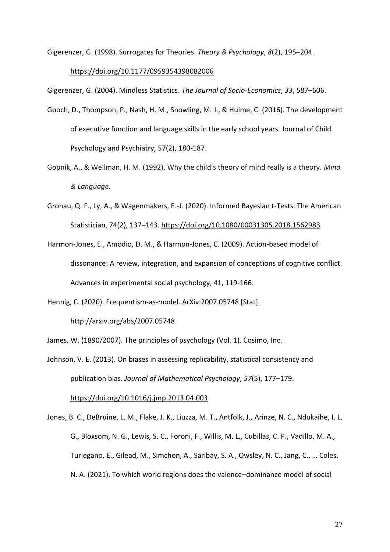Gigerenzer, G. (1998). Surrogates for Theories. *Theory & Psychology*, *8*(2), 195–204.

## <https://doi.org/10.1177/0959354398082006>

Gigerenzer, G. (2004). Mindless Statistics. *The Journal of Socio-Economics*, *33*, 587–606.

- Gooch, D., Thompson, P., Nash, H. M., Snowling, M. J., & Hulme, C. (2016). The development of executive function and language skills in the early school years. Journal of Child Psychology and Psychiatry, 57(2), 180-187.
- Gopnik, A., & Wellman, H. M. (1992). Why the child's theory of mind really is a theory. *Mind & Language*.
- Gronau, Q. F., Ly, A., & Wagenmakers, E.-J. (2020). Informed Bayesian t-Tests. The American Statistician, 74(2), 137–143.<https://doi.org/10.1080/00031305.2018.1562983>
- Harmon‐Jones, E., Amodio, D. M., & Harmon‐Jones, C. (2009). Action‐based model of dissonance: A review, integration, and expansion of conceptions of cognitive conflict. Advances in experimental social psychology, 41, 119-166.
- Hennig, C. (2020). Frequentism-as-model. ArXiv:2007.05748 [Stat].

http://arxiv.org/abs/2007.05748

James, W. (1890/2007). The principles of psychology (Vol. 1). Cosimo, Inc.

Johnson, V. E. (2013). On biases in assessing replicability, statistical consistency and publication bias. *Journal of Mathematical Psychology*, *57*(5), 177–179.

<https://doi.org/10.1016/j.jmp.2013.04.003>

Jones, B. C., DeBruine, L. M., Flake, J. K., Liuzza, M. T., Antfolk, J., Arinze, N. C., Ndukaihe, I. L. G., Bloxsom, N. G., Lewis, S. C., Foroni, F., Willis, M. L., Cubillas, C. P., Vadillo, M. A., Turiegano, E., Gilead, M., Simchon, A., Saribay, S. A., Owsley, N. C., Jang, C., … Coles, N. A. (2021). To which world regions does the valence–dominance model of social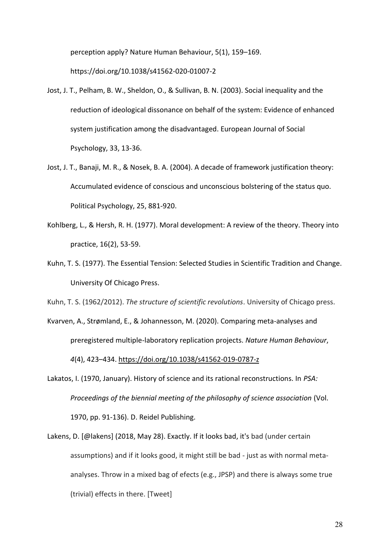perception apply? Nature Human Behaviour, 5(1), 159–169. https://doi.org/10.1038/s41562-020-01007-2

- Jost, J. T., Pelham, B. W., Sheldon, O., & Sullivan, B. N. (2003). Social inequality and the reduction of ideological dissonance on behalf of the system: Evidence of enhanced system justification among the disadvantaged. European Journal of Social Psychology, 33, 13-36.
- Jost, J. T., Banaji, M. R., & Nosek, B. A. (2004). A decade of framework justification theory: Accumulated evidence of conscious and unconscious bolstering of the status quo. Political Psychology, 25, 881-920.
- Kohlberg, L., & Hersh, R. H. (1977). Moral development: A review of the theory. Theory into practice, 16(2), 53-59.
- Kuhn, T. S. (1977). The Essential Tension: Selected Studies in Scientific Tradition and Change. University Of Chicago Press.

Kuhn, T. S. (1962/2012). *The structure of scientific revolutions*. University of Chicago press.

Kvarven, A., Strømland, E., & Johannesson, M. (2020). Comparing meta-analyses and preregistered multiple-laboratory replication projects. *Nature Human Behaviour*, *4*(4), 423–434.<https://doi.org/10.1038/s41562-019-0787-z>

- Lakatos, I. (1970, January). History of science and its rational reconstructions. In *PSA: Proceedings of the biennial meeting of the philosophy of science association* (Vol. 1970, pp. 91-136). D. Reidel Publishing.
- Lakens, D. [@lakens] (2018, May 28). Exactly. If it looks bad, it's bad (under certain assumptions) and if it looks good, it might still be bad - just as with normal metaanalyses. Throw in a mixed bag of efects (e.g., JPSP) and there is always some true (trivial) effects in there. [Tweet]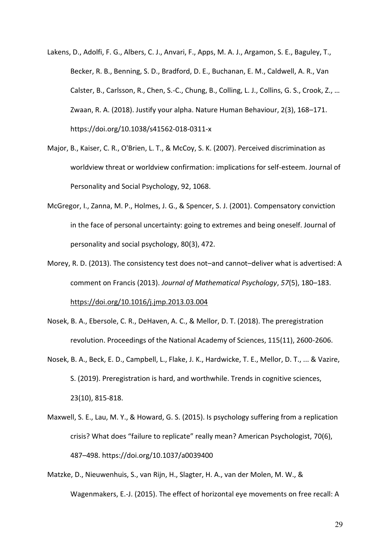- Lakens, D., Adolfi, F. G., Albers, C. J., Anvari, F., Apps, M. A. J., Argamon, S. E., Baguley, T., Becker, R. B., Benning, S. D., Bradford, D. E., Buchanan, E. M., Caldwell, A. R., Van Calster, B., Carlsson, R., Chen, S.-C., Chung, B., Colling, L. J., Collins, G. S., Crook, Z., … Zwaan, R. A. (2018). Justify your alpha. Nature Human Behaviour, 2(3), 168–171. https://doi.org/10.1038/s41562-018-0311-x
- Major, B., Kaiser, C. R., O'Brien, L. T., & McCoy, S. K. (2007). Perceived discrimination as worldview threat or worldview confirmation: implications for self-esteem. Journal of Personality and Social Psychology, 92, 1068.
- McGregor, I., Zanna, M. P., Holmes, J. G., & Spencer, S. J. (2001). Compensatory conviction in the face of personal uncertainty: going to extremes and being oneself. Journal of personality and social psychology, 80(3), 472.
- Morey, R. D. (2013). The consistency test does not–and cannot–deliver what is advertised: A comment on Francis (2013). *Journal of Mathematical Psychology*, *57*(5), 180–183. <https://doi.org/10.1016/j.jmp.2013.03.004>

Nosek, B. A., Ebersole, C. R., DeHaven, A. C., & Mellor, D. T. (2018). The preregistration

- revolution. Proceedings of the National Academy of Sciences, 115(11), 2600-2606.
- Nosek, B. A., Beck, E. D., Campbell, L., Flake, J. K., Hardwicke, T. E., Mellor, D. T., ... & Vazire, S. (2019). Preregistration is hard, and worthwhile. Trends in cognitive sciences, 23(10), 815-818.
- Maxwell, S. E., Lau, M. Y., & Howard, G. S. (2015). Is psychology suffering from a replication crisis? What does "failure to replicate" really mean? American Psychologist, 70(6), 487–498. https://doi.org/10.1037/a0039400
- Matzke, D., Nieuwenhuis, S., van Rijn, H., Slagter, H. A., van der Molen, M. W., & Wagenmakers, E.-J. (2015). The effect of horizontal eye movements on free recall: A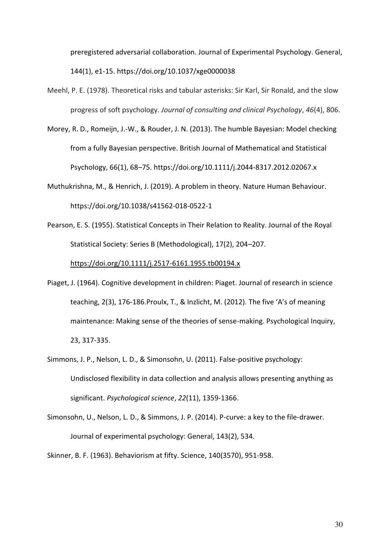preregistered adversarial collaboration. Journal of Experimental Psychology. General, 144(1), e1-15. https://doi.org/10.1037/xge0000038

- Meehl, P. E. (1978). Theoretical risks and tabular asterisks: Sir Karl, Sir Ronald, and the slow progress of soft psychology. *Journal of consulting and clinical Psychology*, *46*(4), 806.
- Morey, R. D., Romeijn, J.-W., & Rouder, J. N. (2013). The humble Bayesian: Model checking from a fully Bayesian perspective. British Journal of Mathematical and Statistical Psychology, 66(1), 68–75. https://doi.org/10.1111/j.2044-8317.2012.02067.x
- Muthukrishna, M., & Henrich, J. (2019). A problem in theory. Nature Human Behaviour. https://doi.org/10.1038/s41562-018-0522-1
- Pearson, E. S. (1955). Statistical Concepts in Their Relation to Reality. Journal of the Royal Statistical Society: Series B (Methodological), 17(2), 204–207.

<https://doi.org/10.1111/j.2517-6161.1955.tb00194.x>

- Piaget, J. (1964). Cognitive development in children: Piaget. Journal of research in science teaching, 2(3), 176-186.Proulx, T., & Inzlicht, M. (2012). The five 'A's of meaning maintenance: Making sense of the theories of sense-making. Psychological Inquiry, 23, 317-335.
- Simmons, J. P., Nelson, L. D., & Simonsohn, U. (2011). False-positive psychology: Undisclosed flexibility in data collection and analysis allows presenting anything as significant. *Psychological science*, *22*(11), 1359-1366.
- Simonsohn, U., Nelson, L. D., & Simmons, J. P. (2014). P-curve: a key to the file-drawer. Journal of experimental psychology: General, 143(2), 534.

Skinner, B. F. (1963). Behaviorism at fifty. Science, 140(3570), 951-958.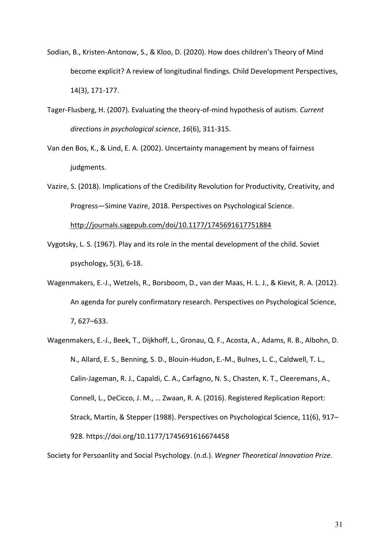- Sodian, B., Kristen‐Antonow, S., & Kloo, D. (2020). How does children's Theory of Mind become explicit? A review of longitudinal findings. Child Development Perspectives, 14(3), 171-177.
- Tager-Flusberg, H. (2007). Evaluating the theory-of-mind hypothesis of autism. *Current directions in psychological science*, *16*(6), 311-315.
- Van den Bos, K., & Lind, E. A. (2002). Uncertainty management by means of fairness judgments.
- Vazire, S. (2018). Implications of the Credibility Revolution for Productivity, Creativity, and Progress—Simine Vazire, 2018. Perspectives on Psychological Science. <http://journals.sagepub.com/doi/10.1177/1745691617751884>
- Vygotsky, L. S. (1967). Play and its role in the mental development of the child. Soviet psychology, 5(3), 6-18.
- Wagenmakers, E.-J., Wetzels, R., Borsboom, D., van der Maas, H. L. J., & Kievit, R. A. (2012). An agenda for purely confirmatory research. Perspectives on Psychological Science, 7, 627–633.
- Wagenmakers, E.-J., Beek, T., Dijkhoff, L., Gronau, Q. F., Acosta, A., Adams, R. B., Albohn, D. N., Allard, E. S., Benning, S. D., Blouin-Hudon, E.-M., Bulnes, L. C., Caldwell, T. L., Calin-Jageman, R. J., Capaldi, C. A., Carfagno, N. S., Chasten, K. T., Cleeremans, A., Connell, L., DeCicco, J. M., … Zwaan, R. A. (2016). Registered Replication Report: Strack, Martin, & Stepper (1988). Perspectives on Psychological Science, 11(6), 917– 928. https://doi.org/10.1177/1745691616674458

Society for Persoanlity and Social Psychology. (n.d.). *Wegner Theoretical Innovation Prize*.